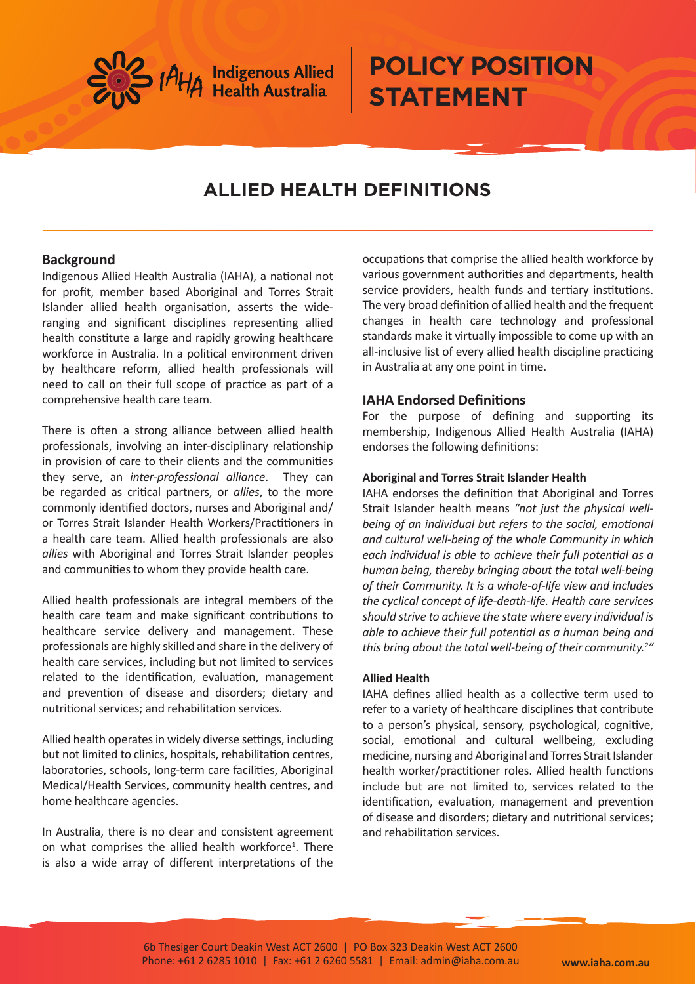

# **POLICY POSITION STATEMENT**

# **ALLIED HEALTH DEFINITIONS**

## **Background**

Indigenous Allied Health Australia (IAHA), a national not for profit, member based Aboriginal and Torres Strait Islander allied health organisation, asserts the wideranging and significant disciplines representing allied health constitute a large and rapidly growing healthcare workforce in Australia. In a political environment driven by healthcare reform, allied health professionals will need to call on their full scope of practice as part of a comprehensive health care team.

There is often a strong alliance between allied health professionals, involving an inter-disciplinary relationship in provision of care to their clients and the communities they serve, an *inter-professional alliance*. They can be regarded as critical partners, or *allies*, to the more commonly identified doctors, nurses and Aboriginal and/ or Torres Strait Islander Health Workers/Practitioners in a health care team. Allied health professionals are also *allies* with Aboriginal and Torres Strait Islander peoples and communities to whom they provide health care.

Allied health professionals are integral members of the health care team and make significant contributions to healthcare service delivery and management. These professionals are highly skilled and share in the delivery of health care services, including but not limited to services related to the identification, evaluation, management and prevention of disease and disorders; dietary and nutritional services; and rehabilitation services.

Allied health operates in widely diverse settings, including but not limited to clinics, hospitals, rehabilitation centres, laboratories, schools, long-term care facilities, Aboriginal Medical/Health Services, community health centres, and home healthcare agencies.

In Australia, there is no clear and consistent agreement on what comprises the allied health workforce<sup>1</sup>. There is also a wide array of different interpretations of the

occupations that comprise the allied health workforce by various government authorities and departments, health service providers, health funds and tertiary institutions. The very broad definition of allied health and the frequent changes in health care technology and professional standards make it virtually impossible to come up with an all-inclusive list of every allied health discipline practicing in Australia at any one point in time.

# **IAHA Endorsed Definitions**

For the purpose of defining and supporting its membership, Indigenous Allied Health Australia (IAHA) endorses the following definitions:

### **Aboriginal and Torres Strait Islander Health**

IAHA endorses the definition that Aboriginal and Torres Strait Islander health means *"not just the physical wellbeing of an individual but refers to the social, emotional and cultural well-being of the whole Community in which each individual is able to achieve their full potential as a human being, thereby bringing about the total well-being of their Community. It is a whole-of-life view and includes the cyclical concept of life-death-life. Health care services should strive to achieve the state where every individual is able to achieve their full potential as a human being and this bring about the total well-being of their community.2 "*

### **Allied Health**

IAHA defines allied health as a collective term used to refer to a variety of healthcare disciplines that contribute to a person's physical, sensory, psychological, cognitive, social, emotional and cultural wellbeing, excluding medicine, nursing and Aboriginal and Torres Strait Islander health worker/practitioner roles. Allied health functions include but are not limited to, services related to the identification, evaluation, management and prevention of disease and disorders; dietary and nutritional services; and rehabilitation services.

6b Thesiger Court Deakin West ACT 2600 | PO Box 323 Deakin West ACT 2600 Phone: +61 2 6285 1010 | Fax: +61 2 6260 5581 | Email: admin@iaha.com.au **www.iaha.com.au**